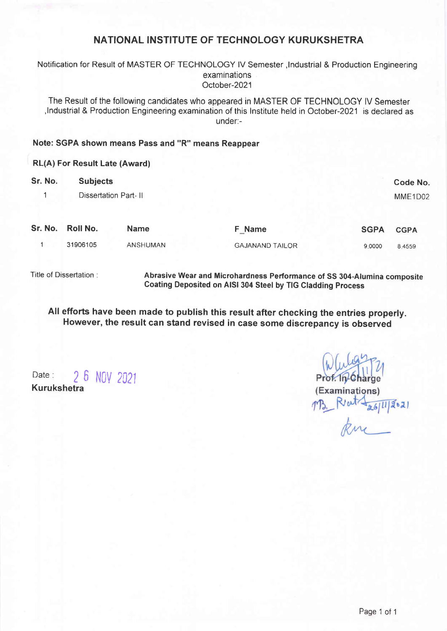## NATIONAL INSTITUTE OF TECHNOLOGY KURUKSHETRA

### Notification for Result of MASTER OF TECHNOLOGY lV Semester,lndustrial & Production Engineering examinations October-2021

The Result of the following candidates who appeared in MASTER OF TECHNOLOGY lV Semester ,lndustrial & Production Engineering examination of this lnstitute held in October-2021 is declared as under:-

### Note: SGPA shown means Pass and "R" means Reappear

## RL(A) For Result Late (Award)

| Sr. No. | <b>Subjects</b><br><b>Dissertation Part-II</b> |                 |                        |             |             |  |
|---------|------------------------------------------------|-----------------|------------------------|-------------|-------------|--|
| Sr. No. | Roll No.                                       | <b>Name</b>     | F Name                 | <b>SGPA</b> | <b>CGPA</b> |  |
|         | 31906105                                       | <b>ANSHUMAN</b> | <b>GAJANAND TAILOR</b> | 9.0000      | 8.4559      |  |

Title of Dissertation :

Abrasive Wear and Microhardness Performance of SS 304-Alumina composite Coating Deposited on AlSl 304 Steel by TIG Cladding process

All efforts have been made to publish this result after checking the entries properly. However, the result can stand revised in case some discrepancy is observed

Date : 2 6 NOv <sup>2021</sup> Kurukshetra

(Examinations) MB. Rut Laglises